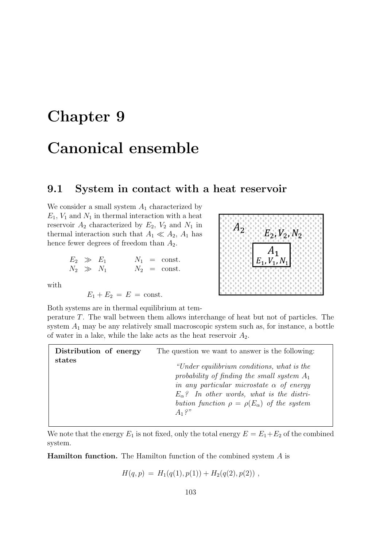# Chapter 9

# Canonical ensemble

# 9.1 System in contact with a heat reservoir

We consider a small system  $A_1$  characterized by  $E_1$ ,  $V_1$  and  $N_1$  in thermal interaction with a heat reservoir  $A_2$  characterized by  $E_2$ ,  $V_2$  and  $N_1$  in thermal interaction such that  $A_1 \ll A_2$ ,  $A_1$  has hence fewer degrees of freedom than  $A_2$ .

| $E_2 \gg E_1$ |  | $N_1 = \text{const.}$ |
|---------------|--|-----------------------|
| $N_2 \gg N_1$ |  | $N_2 = \text{const.}$ |

with

 $E_1 + E_2 = E = \text{const.}$ 



Both systems are in thermal equilibrium at temperature T. The wall between them allows interchange of heat but not of particles. The system  $A_1$  may be any relatively small macroscopic system such as, for instance, a bottle of water in a lake, while the lake acts as the heat reservoir  $A_2$ .

| Distribution of energy | The question we want to answer is the following:                                                                                                                                                                                                                            |  |  |
|------------------------|-----------------------------------------------------------------------------------------------------------------------------------------------------------------------------------------------------------------------------------------------------------------------------|--|--|
| states                 | "Under equilibrium conditions, what is the<br>probability of finding the small system $A_1$<br>in any particular microstate $\alpha$ of energy<br>$E_{\alpha}$ ? In other words, what is the distri-<br>bution function $\rho = \rho(E_{\alpha})$ of the system<br>$A_1?''$ |  |  |

We note that the energy  $E_1$  is not fixed, only the total energy  $E = E_1 + E_2$  of the combined system.

Hamilton function. The Hamilton function of the combined system A is

 $H(q, p) = H_1(q(1), p(1)) + H_2(q(2), p(2))$ ,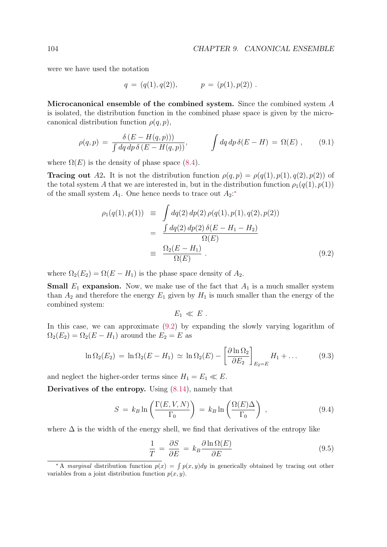were we have used the notation

$$
q = (q(1), q(2)), \qquad p = (p(1), p(2)) .
$$

Microcanonical ensemble of the combined system. Since the combined system A is isolated, the distribution function in the combined phase space is given by the microcanonical distribution function  $\rho(q, p)$ ,

$$
\rho(q,p) = \frac{\delta(E - H(q,p)))}{\int dq \, dp \, \delta(E - H(q,p))}, \qquad \int dq \, dp \, \delta(E - H) = \Omega(E) , \qquad (9.1)
$$

where  $\Omega(E)$  is the density of phase space (8.4).

**Tracing out** A2. It is not the distribution function  $\rho(q, p) = \rho(q(1), p(1), q(2), p(2))$  of the total system A that we are interested in, but in the distribution function  $\rho_1(q(1), p(1))$ of the small system  $A_1$ . One hence needs to trace out  $A_2$ :<sup>\*</sup>

$$
\rho_1(q(1), p(1)) \equiv \int dq(2) dp(2) \rho(q(1), p(1), q(2), p(2))
$$
  
= 
$$
\frac{\int dq(2) dp(2) \delta(E - H_1 - H_2)}{\Omega(E)}
$$
  
= 
$$
\frac{\Omega_2(E - H_1)}{\Omega(E)}.
$$
 (9.2)

where  $\Omega_2(E_2) = \Omega(E - H_1)$  is the phase space density of  $A_2$ .

**Small**  $E_1$  expansion. Now, we make use of the fact that  $A_1$  is a much smaller system than  $A_2$  and therefore the energy  $E_1$  given by  $H_1$  is much smaller than the energy of the combined system:

$$
E_1 \ll E.
$$

In this case, we can approximate (9.2) by expanding the slowly varying logarithm of  $\Omega_2(E_2) = \Omega_2(E - H_1)$  around the  $E_2 = E$  as

$$
\ln \Omega_2(E_2) = \ln \Omega_2(E - H_1) \simeq \ln \Omega_2(E) - \left[ \frac{\partial \ln \Omega_2}{\partial E_2} \right]_{E_2 = E} H_1 + \dots \tag{9.3}
$$

and neglect the higher-order terms since  $H_1 = E_1 \ll E$ .

Derivatives of the entropy. Using (8.14), namely that

$$
S = k_B \ln \left( \frac{\Gamma(E, V, N)}{\Gamma_0} \right) = k_B \ln \left( \frac{\Omega(E)\Delta}{\Gamma_0} \right) , \qquad (9.4)
$$

where  $\Delta$  is the width of the energy shell, we find that derivatives of the entropy like

$$
\frac{1}{T} = \frac{\partial S}{\partial E} = k_B \frac{\partial \ln \Omega(E)}{\partial E}
$$
\n(9.5)

<sup>\*</sup> A marginal distribution function  $p(x) = \int p(x, y) dy$  in generically obtained by tracing out other variables from a joint distribution function  $p(x, y)$ .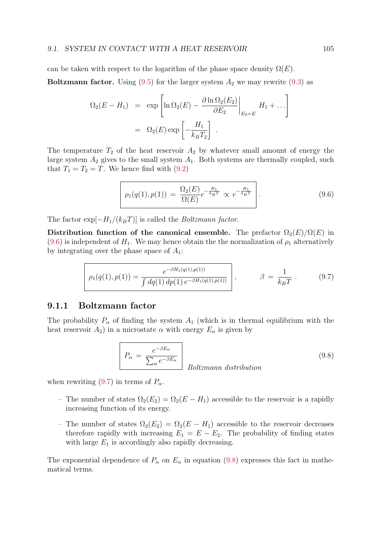can be taken with respect to the logarithm of the phase space density  $\Omega(E)$ .

**Boltzmann factor.** Using (9.5) for the larger system  $A_2$  we may rewrite (9.3) as

$$
\Omega_2(E - H_1) = \exp\left[\ln \Omega_2(E) - \frac{\partial \ln \Omega_2(E_2)}{\partial E_2}\Big|_{E_2 = E} H_1 + \dots\right]
$$
  
=  $\Omega_2(E) \exp\left[-\frac{H_1}{k_B T_2}\right]$ .

The temperature  $T_2$  of the heat reservoir  $A_2$  by whatever small amount of energy the large system  $A_2$  gives to the small system  $A_1$ . Both systems are thermally coupled, such that  $T_1 = T_2 = T$ . We hence find with (9.2)

$$
\rho_1(q(1), p(1)) = \frac{\Omega_2(E)}{\Omega(E)} e^{-\frac{H_1}{k_B T}} \propto e^{-\frac{H_1}{k_B T}}.
$$
\n(9.6)

The factor  $\exp[-H_1/(k_BT)]$  is called the *Boltzmann factor*.

Distribution function of the canonical ensemble. The prefactor  $\Omega_2(E)/\Omega(E)$  in (9.6) is independent of  $H_1$ . We may hence obtain the the normalization of  $\rho_1$  alternatively by integrating over the phase space of  $A_1$ :

$$
\rho_1(q(1), p(1)) = \frac{e^{-\beta H_1(q(1), p(1))}}{\int dq(1) dp(1) e^{-\beta H_1(q(1), p(1))}} \Bigg|, \qquad \beta = \frac{1}{k_B T} \,. \tag{9.7}
$$

#### 9.1.1 Boltzmann factor

The probability  $P_{\alpha}$  of finding the system  $A_1$  (which is in thermal equilibrium with the heat reservoir  $A_2$ ) in a microstate  $\alpha$  with energy  $E_{\alpha}$  is given by

$$
P_{\alpha} = \frac{e^{-\beta E_{\alpha}}}{\sum_{\alpha} e^{-\beta E_{\alpha}}}
$$
 *Boltzmann distribution* (9.8)

when rewriting (9.7) in terms of  $P_{\alpha}$ .

- The number of states  $\Omega_2(E_2) = \Omega_2(E H_1)$  accessible to the reservoir is a rapidly increasing function of its energy.
- The number of states  $\Omega_2(E_2) = \Omega_2(E H_1)$  accessible to the reservoir decreases therefore rapidly with increasing  $E_1 = E - E_2$ . The probability of finding states with large  $E_1$  is accordingly also rapidly decreasing.

The exponential dependence of  $P_{\alpha}$  on  $E_{\alpha}$  in equation (9.8) expresses this fact in mathematical terms.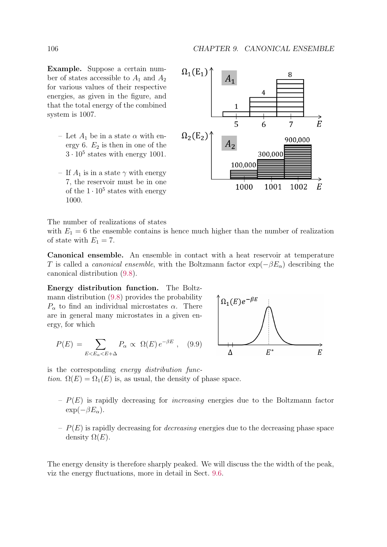Example. Suppose a certain number of states accessible to  $A_1$  and  $A_2$ for various values of their respective energies, as given in the figure, and that the total energy of the combined system is 1007.

- Let  $A_1$  be in a state  $\alpha$  with energy 6.  $E_2$  is then in one of the  $3 \cdot 10^5$  states with energy 1001.
- If  $A_1$  is in a state  $\gamma$  with energy 7, the reservoir must be in one of the  $1 \cdot 10^5$  states with energy 1000.



The number of realizations of states

with  $E_1 = 6$  the ensemble contains is hence much higher than the number of realization of state with  $E_1 = 7$ .

Canonical ensemble. An ensemble in contact with a heat reservoir at temperature T is called a *canonical ensemble*, with the Boltzmann factor  $\exp(-\beta E_{\alpha})$  describing the canonical distribution (9.8).

Energy distribution function. The Boltzmann distribution (9.8) provides the probability  $P_{\alpha}$  to find an individual microstates  $\alpha$ . There are in general many microstates in a given energy, for which

$$
P(E) = \sum_{E < E_{\alpha} < E + \Delta} P_{\alpha} \propto \Omega(E) \, e^{-\beta E} \,, \quad (9.9)
$$



is the corresponding energy distribution function.  $\Omega(E) = \Omega_1(E)$  is, as usual, the density of phase space.

- $P(E)$  is rapidly decreasing for *increasing* energies due to the Boltzmann factor  $\exp(-\beta E_{\alpha}).$
- $P(E)$  is rapidly decreasing for *decreasing* energies due to the decreasing phase space density  $\Omega(E)$ .

The energy density is therefore sharply peaked. We will discuss the the width of the peak, viz the energy fluctuations, more in detail in Sect. 9.6.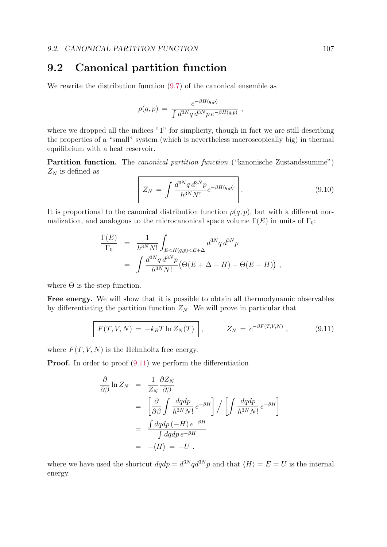### 9.2 Canonical partition function

We rewrite the distribution function  $(9.7)$  of the canonical ensemble as

$$
\rho(q,p) = \frac{e^{-\beta H(q,p)}}{\int d^{3N}q \, d^{3N}p \, e^{-\beta H(q,p)}} \;,
$$

where we dropped all the indices "1" for simplicity, though in fact we are still describing the properties of a "small" system (which is nevertheless macroscopically big) in thermal equilibrium with a heat reservoir.

Partition function. The canonical partition function ("kanonische Zustandssumme")  $Z_N$  is defined as

$$
Z_N = \int \frac{d^{3N}q \, d^{3N}p}{h^{3N}N!} e^{-\beta H(q,p)} \, . \tag{9.10}
$$

It is proportional to the canonical distribution function  $\rho(q, p)$ , but with a different normalization, and analogous to the microcanonical space volume  $\Gamma(E)$  in units of  $\Gamma_0$ :

$$
\frac{\Gamma(E)}{\Gamma_0} = \frac{1}{h^{3N} N!} \int_{E < H(q,p) < E + \Delta} d^{3N} q \, d^{3N} p
$$
\n
$$
= \int \frac{d^{3N} q \, d^{3N} p}{h^{3N} N!} \big( \Theta(E + \Delta - H) - \Theta(E - H) \big) \;,
$$

where  $\Theta$  is the step function.

Free energy. We will show that it is possible to obtain all thermodynamic observables by differentiating the partition function  $Z_N$ . We will prove in particular that

$$
F(T, V, N) = -k_B T \ln Z_N(T) \bigg|, \qquad Z_N = e^{-\beta F(T, V, N)}, \qquad (9.11)
$$

where  $F(T, V, N)$  is the Helmholtz free energy.

**Proof.** In order to proof  $(9.11)$  we perform the differentiation

$$
\frac{\partial}{\partial \beta} \ln Z_N = \frac{1}{Z_N} \frac{\partial Z_N}{\partial \beta}
$$
  
\n
$$
= \left[ \frac{\partial}{\partial \beta} \int \frac{dqdp}{h^{3N} N!} e^{-\beta H} \right] / \left[ \int \frac{dqdp}{h^{3N} N!} e^{-\beta H} \right]
$$
  
\n
$$
= \frac{\int dqdp \, (-H) e^{-\beta H}}{\int dqdp \, e^{-\beta H}}
$$
  
\n
$$
= -\langle H \rangle = -U.
$$

where we have used the shortcut  $dqdp = d^{3N}qd^{3N}p$  and that  $\langle H \rangle = E = U$  is the internal energy.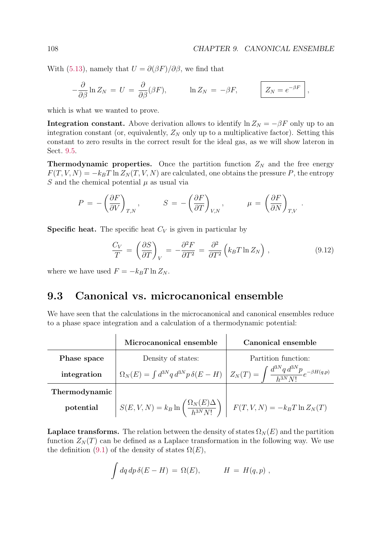With (5.13), namely that  $U = \partial(\beta F)/\partial\beta$ , we find that

$$
-\frac{\partial}{\partial \beta} \ln Z_N = U = \frac{\partial}{\partial \beta} (\beta F), \qquad \ln Z_N = -\beta F, \qquad \boxed{Z_N = e^{-\beta F}},
$$

which is what we wanted to prove.

**Integration constant.** Above derivation allows to identify  $\ln Z_N = -\beta F$  only up to an integration constant (or, equivalently,  $Z_N$  only up to a multiplicative factor). Setting this constant to zero results in the correct result for the ideal gas, as we will show lateron in Sect. 9.5.

**Thermodynamic properties.** Once the partition function  $Z_N$  and the free energy  $F(T, V, N) = -k_B T \ln Z_N(T, V, N)$  are calculated, one obtains the pressure P, the entropy S and the chemical potential  $\mu$  as usual via

$$
P = -\left(\frac{\partial F}{\partial V}\right)_{T,N}, \qquad S = -\left(\frac{\partial F}{\partial T}\right)_{V,N}, \qquad \mu = \left(\frac{\partial F}{\partial N}\right)_{T,V}.
$$

**Specific heat.** The specific heat  $C_V$  is given in particular by

$$
\frac{C_V}{T} = \left(\frac{\partial S}{\partial T}\right)_V = -\frac{\partial^2 F}{\partial T^2} = \frac{\partial^2}{\partial T^2} \left(k_B T \ln Z_N\right),\tag{9.12}
$$

where we have used  $F = -k_BT \ln Z_N$ .

### 9.3 Canonical vs. microcanonical ensemble

We have seen that the calculations in the microcanonical and canonical ensembles reduce to a phase space integration and a calculation of a thermodynamic potential:

|               | Microcanonical ensemble                                                                                                                   | Canonical ensemble  |  |
|---------------|-------------------------------------------------------------------------------------------------------------------------------------------|---------------------|--|
| Phase space   | Density of states:                                                                                                                        | Partition function: |  |
| integration   | $\Omega_N(E) = \int d^{3N}q \, d^{3N}p \, \delta(E-H) \left[ Z_N(T) = \int \frac{d^{3N}q \, d^{3N}p}{h^{3N}N!} e^{-\beta H(q,p)} \right]$ |                     |  |
| Thermodynamic |                                                                                                                                           |                     |  |
| potential     | $S(E, V, N) = k_B \ln \left( \frac{\Omega_N(E) \Delta}{h^{3N} N!} \right)$ $F(T, V, N) = -k_B T \ln Z_N(T)$                               |                     |  |

**Laplace transforms.** The relation between the density of states  $\Omega_N(E)$  and the partition function  $Z_N(T)$  can be defined as a Laplace transformation in the following way. We use the definition (9.1) of the density of states  $\Omega(E)$ ,

$$
\int dq \, dp \, \delta(E - H) = \Omega(E), \qquad H = H(q, p) ,
$$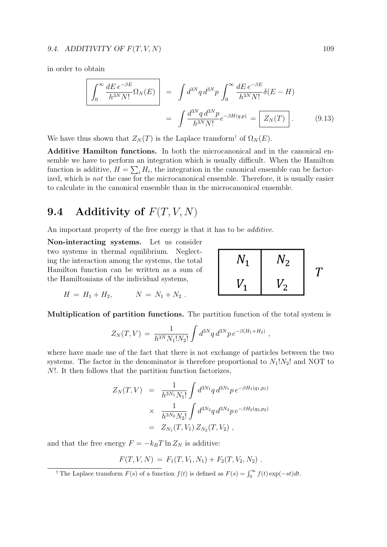#### 9.4. ADDITIVITY OF  $F(T, V, N)$  109

in order to obtain

$$
\left| \int_0^\infty \frac{dE \, e^{-\beta E}}{h^{3N} N!} \Omega_N(E) \right| = \int d^{3N} q \, d^{3N} p \int_0^\infty \frac{dE \, e^{-\beta E}}{h^{3N} N!} \delta(E - H) \n= \int \frac{d^{3N} q \, d^{3N} p}{h^{3N} N!} e^{-\beta H(q, p)} = \boxed{Z_N(T)}.
$$
\n(9.13)

We have thus shown that  $Z_N(T)$  is the Laplace transform<sup>†</sup> of  $\Omega_N(E)$ .

Additive Hamilton functions. In both the microcanonical and in the canonical ensemble we have to perform an integration which is usually difficult. When the Hamilton function is additive,  $H = \sum_i H_i$ , the integration in the canonical ensemble can be factorized, which is not the case for the microcanonical ensemble. Therefore, it is usually easier to calculate in the canonical ensemble than in the microcanonical ensemble.

# 9.4 Additivity of  $F(T, V, N)$

An important property of the free energy is that it has to be *additive*.

Non-interacting systems. Let us consider two systems in thermal equilibrium. Neglecting the interaction among the systems, the total Hamilton function can be written as a sum of the Hamiltonians of the individual systems,

$$
\begin{array}{|c|c|c|}\n\hline\nN_1 & N_2 \\
V_1 & V_2\n\end{array}
$$
 T

$$
H = H_1 + H_2, \qquad N = N_1 + N_2 \; .
$$

Multiplication of partition functions. The partition function of the total system is

$$
Z_N(T,V) = \frac{1}{h^{3N} N_1! N_2!} \int d^{3N}q \, d^{3N}p \, e^{-\beta(H_1 + H_2)} \,,
$$

where have made use of the fact that there is not exchange of particles between the two systems. The factor in the denominator is therefore proportional to  $N_1!N_2!$  and NOT to N!. It then follows that the partition function factorizes,

$$
Z_N(T, V) = \frac{1}{h^{3N_1} N_1!} \int d^{3N_1} q \, d^{3N_1} p \, e^{-\beta H_1(q_1, p_1)}
$$
  
 
$$
\times \frac{1}{h^{3N_2} N_2!} \int d^{3N_2} q \, d^{3N_2} p \, e^{-\beta H_2(q_2, p_2)}
$$
  
 
$$
= Z_{N_1}(T, V_1) \, Z_{N_2}(T, V_2) \ ,
$$

and that the free energy  $F = -k_BT \ln Z_N$  is additive:

$$
F(T, V, N) = F_1(T, V_1, N_1) + F_2(T, V_2, N_2) .
$$

<sup>&</sup>lt;sup>†</sup> The Laplace transform  $F(s)$  of a function  $f(t)$  is defined as  $F(s) = \int_0^\infty f(t) \exp(-st) dt$ .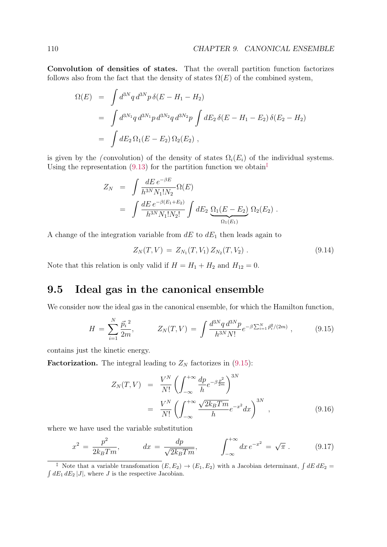Convolution of densities of states. That the overall partition function factorizes follows also from the fact that the density of states  $\Omega(E)$  of the combined system,

$$
\Omega(E) = \int d^{3N}q \, d^{3N}p \, \delta(E - H_1 - H_2)
$$
  
= 
$$
\int d^{3N_1}q \, d^{3N_1}p \, d^{3N_2}q \, d^{3N_2}p \int dE_2 \, \delta(E - H_1 - E_2) \, \delta(E_2 - H_2)
$$
  
= 
$$
\int dE_2 \, \Omega_1(E - E_2) \, \Omega_2(E_2) ,
$$

is given by the (convolution) of the density of states  $\Omega_i(E_i)$  of the individual systems. Using the representation (9.13) for the partition function we obtain<sup> $\ddagger$ </sup>

$$
Z_N = \int \frac{dE e^{-\beta E}}{h^{3N} N_1! N_2} \Omega(E)
$$
  
= 
$$
\int \frac{dE e^{-\beta(E_1+E_2)}}{h^{3N} N_1! N_2!} \int dE_2 \underbrace{\Omega_1(E-E_2)}_{\Omega_1(E_1)} \Omega_2(E_2) .
$$

A change of the integration variable from  $dE$  to  $dE_1$  then leads again to

$$
Z_N(T, V) = Z_{N_1}(T, V_1) Z_{N_2}(T, V_2).
$$
\n(9.14)

Note that this relation is only valid if  $H = H_1 + H_2$  and  $H_{12} = 0$ .

## 9.5 Ideal gas in the canonical ensemble

We consider now the ideal gas in the canonical ensemble, for which the Hamilton function,

$$
H = \sum_{i=1}^{N} \frac{\vec{p_i}^2}{2m}, \qquad Z_N(T, V) = \int \frac{d^{3N} q \, d^{3N} p}{h^{3N} N!} e^{-\beta \sum_{i=1}^{N} \vec{p_i}^2 / (2m)}, \qquad (9.15)
$$

contains just the kinetic energy.

**Factorization.** The integral leading to  $Z_N$  factorizes in  $(9.15)$ :

$$
Z_N(T, V) = \frac{V^N}{N!} \left( \int_{-\infty}^{+\infty} \frac{dp}{h} e^{-\beta \frac{p^2}{2m}} \right)^{3N}
$$
  
= 
$$
\frac{V^N}{N!} \left( \int_{-\infty}^{+\infty} \frac{\sqrt{2k_B T m}}{h} e^{-x^2} dx \right)^{3N},
$$
 (9.16)

where we have used the variable substitution

$$
x^{2} = \frac{p^{2}}{2k_{B}Tm}, \qquad dx = \frac{dp}{\sqrt{2k_{B}Tm}}, \qquad \int_{-\infty}^{+\infty} dx \, e^{-x^{2}} = \sqrt{\pi} \,. \tag{9.17}
$$

<sup>&</sup>lt;sup>‡</sup> Note that a variable transfomation  $(E, E_2) \rightarrow (E_1, E_2)$  with a Jacobian determinant,  $\int dE dE_2 = \int dE_1 dE_2 |J|$ , where *J* is the respective Jacobian.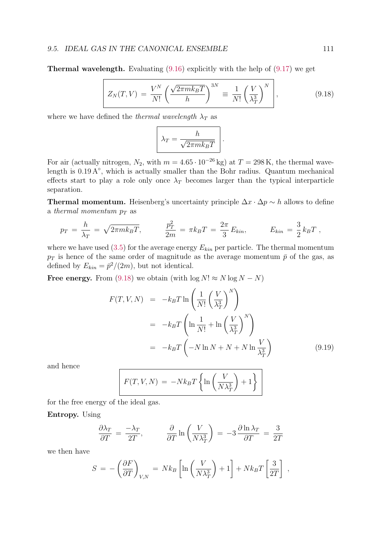**Thermal wavelength.** Evaluating  $(9.16)$  explicitly with the help of  $(9.17)$  we get

$$
Z_N(T,V) = \frac{V^N}{N!} \left( \frac{\sqrt{2\pi m k_B T}}{h} \right)^{3N} \equiv \frac{1}{N!} \left( \frac{V}{\lambda_T^3} \right)^N,
$$
(9.18)

where we have defined the *thermal wavelength*  $\lambda_T$  as

$$
\lambda_T = \frac{h}{\sqrt{2\pi m k_B T}}.
$$

For air (actually nitrogen,  $N_2$ , with  $m = 4.65 \cdot 10^{-26}$  kg) at  $T = 298$  K, the thermal wavelength is 0.19 A◦ , which is actually smaller than the Bohr radius. Quantum mechanical effects start to play a role only once  $\lambda_T$  becomes larger than the typical interparticle separation.

**Thermal momentum.** Heisenberg's uncertainty principle  $\Delta x \cdot \Delta p \sim h$  allows to define a thermal momentum  $p_T$  as

$$
p_T = \frac{h}{\lambda_T} = \sqrt{2\pi m k_B T}, \qquad \frac{p_T^2}{2m} = \pi k_B T = \frac{2\pi}{3} E_{kin}, \qquad E_{kin} = \frac{3}{2} k_B T,
$$

where we have used  $(3.5)$  for the average energy  $E_{kin}$  per particle. The thermal momentum  $p_T$  is hence of the same order of magnitude as the average momentum  $\bar{p}$  of the gas, as defined by  $E_{kin} = \bar{p}^2/(2m)$ , but not identical.

Free energy. From (9.18) we obtain (with  $\log N! \approx N \log N - N$ )

$$
F(T, V, N) = -k_B T \ln \left( \frac{1}{N!} \left( \frac{V}{\lambda_T^3} \right)^N \right)
$$
  
= 
$$
-k_B T \left( \ln \frac{1}{N!} + \ln \left( \frac{V}{\lambda_T^3} \right)^N \right)
$$
  
= 
$$
-k_B T \left( -N \ln N + N + N \ln \frac{V}{\lambda_T^3} \right)
$$
(9.19)

and hence

$$
F(T, V, N) = -Nk_BT \left\{ \ln \left( \frac{V}{N\lambda_T^3} \right) + 1 \right\}
$$

for the free energy of the ideal gas.

Entropy. Using

$$
\frac{\partial \lambda_T}{\partial T} = \frac{-\lambda_T}{2T}, \qquad \frac{\partial}{\partial T} \ln \left( \frac{V}{N \lambda_T^3} \right) = -3 \frac{\partial \ln \lambda_T}{\partial T} = \frac{3}{2T}
$$

we then have

$$
S = -\left(\frac{\partial F}{\partial T}\right)_{V,N} = Nk_B \left[\ln\left(\frac{V}{N\lambda_T^3}\right) + 1\right] + Nk_B T \left[\frac{3}{2T}\right] ,
$$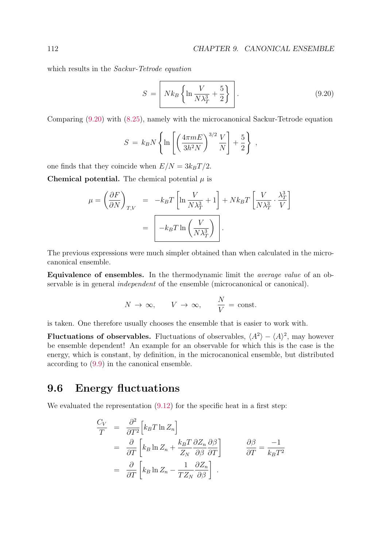which results in the *Sackur-Tetrode equation* 

$$
S = \left[ Nk_B \left\{ \ln \frac{V}{N\lambda_T^3} + \frac{5}{2} \right\} \right].
$$
 (9.20)

Comparing (9.20) with (8.25), namely with the microcanonical Sackur-Tetrode equation

$$
S = k_B N \left\{ \ln \left[ \left( \frac{4 \pi m E}{3 h^2 N} \right)^{3/2} \frac{V}{N} \right] + \frac{5}{2} \right\},\,
$$

one finds that they coincide when  $E/N = 3k_BT/2$ .

**Chemical potential.** The chemical potential  $\mu$  is

$$
\mu = \left(\frac{\partial F}{\partial N}\right)_{T,V} = -k_B T \left[\ln \frac{V}{N\lambda_T^3} + 1\right] + Nk_B T \left[\frac{V}{N\lambda_T^3} \cdot \frac{\lambda_T^3}{V}\right]
$$

$$
= \left[-k_B T \ln \left(\frac{V}{N\lambda_T^3}\right)\right].
$$

The previous expressions were much simpler obtained than when calculated in the microcanonical ensemble.

Equivalence of ensembles. In the thermodynamic limit the average value of an observable is in general *independent* of the ensemble (microcanonical or canonical).

$$
N \to \infty
$$
,  $V \to \infty$ ,  $\frac{N}{V} = \text{const.}$ 

is taken. One therefore usually chooses the ensemble that is easier to work with.

**Fluctuations of observables.** Fluctuations of observables,  $\langle A^2 \rangle - \langle A \rangle^2$ , may however be ensemble dependent! An example for an observable for which this is the case is the energy, which is constant, by definition, in the microcanonical ensemble, but distributed according to (9.9) in the canonical ensemble.

# 9.6 Energy fluctuations

We evaluated the representation  $(9.12)$  for the specific heat in a first step:

$$
\frac{C_V}{T} = \frac{\partial^2}{\partial T^2} \Big[ k_B T \ln Z_n \Big]
$$
  
\n
$$
= \frac{\partial}{\partial T} \Big[ k_B \ln Z_n + \frac{k_B T}{Z_N} \frac{\partial Z_n}{\partial \beta} \frac{\partial \beta}{\partial T} \Big] \qquad \frac{\partial \beta}{\partial T} = \frac{-1}{k_B T^2}
$$
  
\n
$$
= \frac{\partial}{\partial T} \Big[ k_B \ln Z_n - \frac{1}{T Z_N} \frac{\partial Z_n}{\partial \beta} \Big].
$$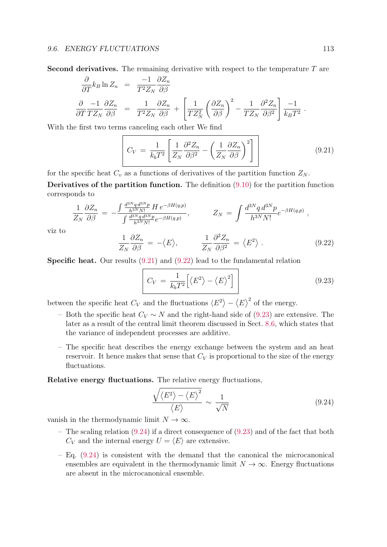viz to

**Second derivatives.** The remaining derivative with respect to the temperature  $T$  are

$$
\frac{\partial}{\partial T} k_B \ln Z_n = \frac{-1}{T^2 Z_N} \frac{\partial Z_n}{\partial \beta}
$$
\n
$$
\frac{\partial}{\partial T} \frac{-1}{T Z_N} \frac{\partial Z_n}{\partial \beta} = \frac{1}{T^2 Z_N} \frac{\partial Z_n}{\partial \beta} + \left[ \frac{1}{T Z_N^2} \left( \frac{\partial Z_n}{\partial \beta} \right)^2 - \frac{1}{T Z_N} \frac{\partial^2 Z_n}{\partial \beta^2} \right] \frac{-1}{k_B T^2}.
$$

With the first two terms canceling each other We find

$$
C_V = \frac{1}{k_b T^2} \left[ \frac{1}{Z_N} \frac{\partial^2 Z_n}{\partial \beta^2} - \left( \frac{1}{Z_N} \frac{\partial Z_n}{\partial \beta} \right)^2 \right] \tag{9.21}
$$

for the specific heat  $C_v$  as a functions of derivatives of the partition function  $Z_N$ .

Derivatives of the partition function. The definition (9.10) for the partition function corresponds to

$$
\frac{1}{Z_N} \frac{\partial Z_n}{\partial \beta} = -\frac{\int \frac{d^{3N} q d^{3N} p}{h^{3N} N!} H e^{-\beta H(q, p)}}{\int \frac{d^{3N} q d^{3N} p}{h^{3N} N!} e^{-\beta H(q, p)}}, \qquad Z_N = \int \frac{d^{3N} q d^{3N} p}{h^{3N} N!} e^{-\beta H(q, p)},
$$
\n
$$
\frac{1}{Z_N} \frac{\partial Z_n}{\partial \beta} = -\langle E \rangle, \qquad \frac{1}{Z_N} \frac{\partial^2 Z_n}{\partial \beta^2} = \langle E^2 \rangle.
$$
\n(9.22)

Specific heat. Our results (9.21) and (9.22) lead to the fundamental relation

$$
C_V = \frac{1}{k_b T^2} \Big[ \langle E^2 \rangle - \langle E \rangle^2 \Big] \tag{9.23}
$$

between the specific heat  $C_V$  and the fluctuations  $\langle E^2 \rangle - \langle E \rangle^2$  of the energy.

- Both the specific heat  $C_V \sim N$  and the right-hand side of (9.23) are extensive. The later as a result of the central limit theorem discussed in Sect. 8.6, which states that the variance of independent processes are additive.
- The specific heat describes the energy exchange between the system and an heat reservoir. It hence makes that sense that  $C_V$  is proportional to the size of the energy fluctuations.

Relative energy fluctuations. The relative energy fluctuations,

$$
\frac{\sqrt{\langle E^2 \rangle - \langle E \rangle^2}}{\langle E \rangle} \sim \frac{1}{\sqrt{N}}\tag{9.24}
$$

vanish in the thermodynamic limit  $N \to \infty$ .

- The scaling relation (9.24) if a direct consequence of (9.23) and of the fact that both  $C_V$  and the internal energy  $U = \langle E \rangle$  are extensive.
- Eq. (9.24) is consistent with the demand that the canonical the microcanonical ensembles are equivalent in the thermodynamic limit  $N \to \infty$ . Energy fluctuations are absent in the microcanonical ensemble.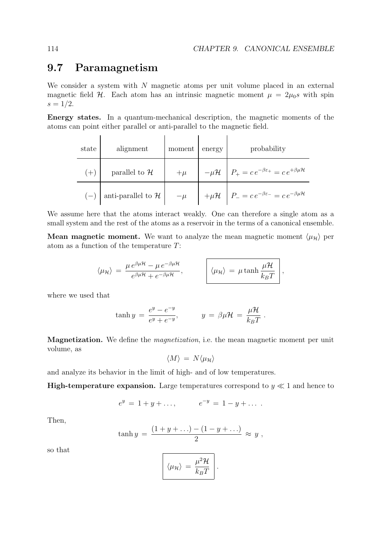## 9.7 Paramagnetism

We consider a system with  $N$  magnetic atoms per unit volume placed in an external magnetic field H. Each atom has an intrinsic magnetic moment  $\mu = 2\mu_0 s$  with spin  $s = 1/2$ .

Energy states. In a quantum-mechanical description, the magnetic moments of the atoms can point either parallel or anti-parallel to the magnetic field.

| state | alignment                       | moment | energy | probability                                                                          |
|-------|---------------------------------|--------|--------|--------------------------------------------------------------------------------------|
| $(+)$ | parallel to $\mathcal H$        | $+\mu$ |        | $-\mu \mathcal{H}$ $P_+ = c e^{-\beta \varepsilon_+} = c e^{+\beta \mu \mathcal{H}}$ |
|       | anti-parallel to ${\mathcal H}$ | $-\mu$ |        | $+\mu\mathcal{H}$ $P_{-} = ce^{-\beta\varepsilon_{-}} = ce^{-\beta\mu\mathcal{H}}$   |

We assume here that the atoms interact weakly. One can therefore a single atom as a small system and the rest of the atoms as a reservoir in the terms of a canonical ensemble.

**Mean magnetic moment.** We want to analyze the mean magnetic moment  $\langle \mu_{\mathcal{H}} \rangle$  per atom as a function of the temperature T:

$$
\langle \mu_{\mathcal{H}} \rangle = \frac{\mu e^{\beta \mu \mathcal{H}} - \mu e^{-\beta \mu \mathcal{H}}}{e^{\beta \mu \mathcal{H}} + e^{-\beta \mu \mathcal{H}}}, \qquad \bigg| \langle \mu_{\mathcal{H}} \rangle = \mu \tanh \frac{\mu \mathcal{H}}{k_B T} \bigg|,
$$

where we used that

$$
\tanh y = \frac{e^y - e^{-y}}{e^y + e^{-y}}, \qquad y = \beta \mu \mathcal{H} = \frac{\mu \mathcal{H}}{k_B T}.
$$

Magnetization. We define the *magnetization*, i.e. the mean magnetic moment per unit volume, as

$$
\langle M \rangle \, = \, N \langle \mu_{\mathcal{H}} \rangle
$$

and analyze its behavior in the limit of high- and of low temperatures.

**High-temperature expansion.** Large temperatures correspond to  $y \ll 1$  and hence to

$$
e^y = 1 + y + \dots,
$$
  $e^{-y} = 1 - y + \dots$ 

Then,

$$
\tanh y = \frac{(1+y+\ldots)-(1-y+\ldots)}{2} \approx y,
$$

so that

$$
\left(\langle \mu_{\mathcal{H}}\rangle\right) = \frac{\mu^2 \mathcal{H}}{k_B T}\right).
$$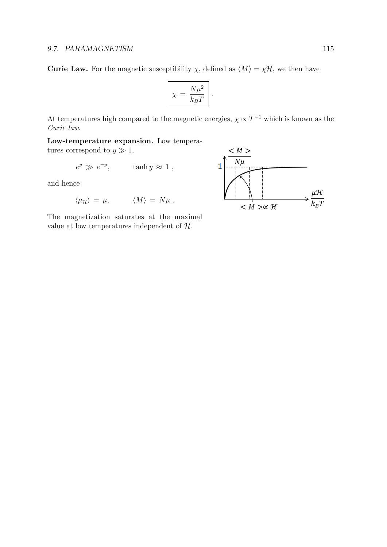**Curie Law.** For the magnetic susceptibility  $\chi$ , defined as  $\langle M \rangle = \chi \mathcal{H}$ , we then have

$$
\chi = \frac{N\mu^2}{k_B T}.
$$

At temperatures high compared to the magnetic energies,  $\chi \propto T^{-1}$  which is known as the Curie law.

Low-temperature expansion. Low temperatures correspond to  $y \gg 1$ ,

$$
e^y \gg e^{-y}, \qquad \tanh y \approx 1 ,
$$

and hence

$$
\langle \mu_{\mathcal{H}} \rangle = \mu, \qquad \langle M \rangle = N \mu \; .
$$

The magnetization saturates at the maximal value at low temperatures independent of H.